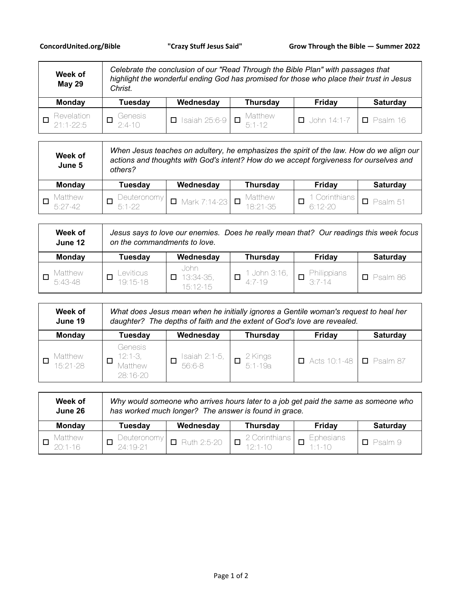| Week of<br><b>May 29</b>         | Celebrate the conclusion of our "Read Through the Bible Plan" with passages that<br>highlight the wonderful ending God has promised for those who place their trust in Jesus<br>Christ. |                                                     |                 |                    |                 |
|----------------------------------|-----------------------------------------------------------------------------------------------------------------------------------------------------------------------------------------|-----------------------------------------------------|-----------------|--------------------|-----------------|
| Monday                           | <b>Tuesday</b>                                                                                                                                                                          | Wednesday                                           | <b>Thursday</b> | Friday             | Saturday        |
| Revelation<br>□<br>$21:1 - 22:5$ | Genesis<br>2:4-10                                                                                                                                                                       | $\overline{1}$ Isaiah 25:6-9 $\overline{1}$ Matthew |                 | $\Box$ John 14:1-7 | $\Box$ Psalm 16 |

| Week of<br>June 5      | When Jesus teaches on adultery, he emphasizes the spirit of the law. How do we align our<br>actions and thoughts with God's intent? How do we accept forgiveness for ourselves and<br>others? |                            |                     |                          |                 |
|------------------------|-----------------------------------------------------------------------------------------------------------------------------------------------------------------------------------------------|----------------------------|---------------------|--------------------------|-----------------|
| <b>Monday</b>          | Tuesday                                                                                                                                                                                       | Wednesday                  | <b>Thursday</b>     | Friday                   | <b>Saturday</b> |
| Matthew<br>$5.27 - 42$ | Deuteronomy<br>$5.1 - 22$                                                                                                                                                                     | $\Box$ Mark 7:14-23 $\Box$ | Matthew<br>18:21-35 | Corinthians<br>$6:12-20$ | $\Box$ Psalm 51 |

| Week of<br>June 12 | Jesus says to love our enemies. Does he really mean that? Our readings this week focus<br>on the commandments to love. |                                       |                          |                       |                 |
|--------------------|------------------------------------------------------------------------------------------------------------------------|---------------------------------------|--------------------------|-----------------------|-----------------|
| <b>Monday</b>      | Tuesday                                                                                                                | Wednesday                             | <b>Thursday</b>          | Friday                | <b>Saturday</b> |
| Matthew<br>5:43-48 | Leviticus<br>19:15-18                                                                                                  | John<br>13:34-35,<br>П.<br>$15:12-15$ | 1 John 3:16,<br>$4:7-19$ | Philippians<br>3:7-14 | $\Box$ Psalm 86 |

| Week of<br>June 19          | What does Jesus mean when he initially ignores a Gentile woman's request to heal her<br>daughter? The depths of faith and the extent of God's love are revealed. |                                        |                                                                       |                                     |                 |  |
|-----------------------------|------------------------------------------------------------------------------------------------------------------------------------------------------------------|----------------------------------------|-----------------------------------------------------------------------|-------------------------------------|-----------------|--|
| <b>Monday</b>               | <b>Tuesday</b>                                                                                                                                                   | Wednesday                              | <b>Thursday</b>                                                       | Friday                              | <b>Saturday</b> |  |
| <i>M</i> atthew<br>15:21-28 | Genesis<br>$12:1-3$ ,<br>Matthew<br>28:16-20                                                                                                                     | $\frac{1 \cdot 1}{56 \cdot 6 \cdot 8}$ | $\begin{array}{c}\n 2 \text{ Kings} \\ \boxed{5:1-19a}\n \end{array}$ | $\Box$ Acts 10:1-48 $\Box$ Psalm 87 |                 |  |

| Week of<br>June 26            | Why would someone who arrives hours later to a job get paid the same as someone who<br>has worked much longer? The answer is found in grace. |                    |                              |                         |                 |  |
|-------------------------------|----------------------------------------------------------------------------------------------------------------------------------------------|--------------------|------------------------------|-------------------------|-----------------|--|
| <b>Monday</b>                 | Tuesday                                                                                                                                      | Wednesday          | Thursday                     | Friday                  | <b>Saturday</b> |  |
| <b>Matthew</b><br>$20:1 - 16$ | Deuteronomy<br>24:19-21                                                                                                                      | $\Box$ Ruth 2:5-20 | 2 Corinthians<br>$12:1 - 10$ | Ephesians<br>$1:1 - 10$ | $\Box$ Psalm 9  |  |